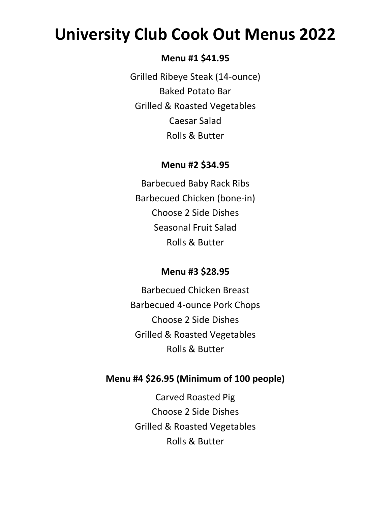# **University Club Cook Out Menus 2022**

#### **Menu #1 \$41.95**

Grilled Ribeye Steak (14-ounce) Baked Potato Bar Grilled & Roasted Vegetables Caesar Salad Rolls & Butter

#### **Menu #2 \$34.95**

Barbecued Baby Rack Ribs Barbecued Chicken (bone-in) Choose 2 Side Dishes Seasonal Fruit Salad Rolls & Butter

### **Menu #3 \$28.95**

Barbecued Chicken Breast Barbecued 4-ounce Pork Chops Choose 2 Side Dishes Grilled & Roasted Vegetables Rolls & Butter

## **Menu #4 \$26.95 (Minimum of 100 people)**

Carved Roasted Pig Choose 2 Side Dishes Grilled & Roasted Vegetables Rolls & Butter